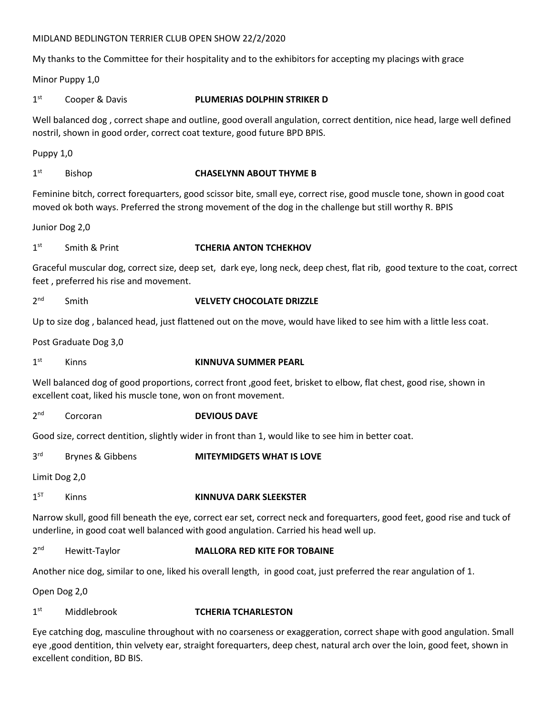# MIDLAND BEDLINGTON TERRIER CLUB OPEN SHOW 22/2/2020

My thanks to the Committee for their hospitality and to the exhibitors for accepting my placings with grace

Minor Puppy 1,0

 $1<sup>st</sup>$ Cooper & Davis **PLUMERIAS DOLPHIN STRIKER D** 

Well balanced dog , correct shape and outline, good overall angulation, correct dentition, nice head, large well defined nostril, shown in good order, correct coat texture, good future BPD BPIS.

Puppy 1,0

 $1<sup>st</sup>$ 

# Bishop **CHASELYNN ABOUT THYME B**

Feminine bitch, correct forequarters, good scissor bite, small eye, correct rise, good muscle tone, shown in good coat moved ok both ways. Preferred the strong movement of the dog in the challenge but still worthy R. BPIS

Junior Dog 2,0

### $1<sup>st</sup>$ st Smith & Print **TCHERIA ANTON TCHEKHOV**

Graceful muscular dog, correct size, deep set, dark eye, long neck, deep chest, flat rib, good texture to the coat, correct feet , preferred his rise and movement.

 $2<sub>nd</sub>$ **nd Smith Smith Smith Smith CHOCOLATE DRIZZLE** 

Up to size dog , balanced head, just flattened out on the move, would have liked to see him with a little less coat.

Post Graduate Dog 3,0

 $1<sup>st</sup>$ st Kinns **KINNUVA SUMMER PEARL**

Well balanced dog of good proportions, correct front ,good feet, brisket to elbow, flat chest, good rise, shown in excellent coat, liked his muscle tone, won on front movement.

 $2<sub>nd</sub>$ **Corcoran DEVIOUS DAVE** 

Good size, correct dentition, slightly wider in front than 1, would like to see him in better coat.

**3rd Brynes & Gibbens MITEYMIDGETS WHAT IS LOVE** 

Limit Dog 2,0

## $1<sup>ST</sup>$ Kinns **KINNUVA DARK SLEEKSTER**

Narrow skull, good fill beneath the eye, correct ear set, correct neck and forequarters, good feet, good rise and tuck of underline, in good coat well balanced with good angulation. Carried his head well up.

 $2<sub>nd</sub>$ **Hewitt-Taylor MALLORA RED KITE FOR TOBAINE** 

Another nice dog, similar to one, liked his overall length, in good coat, just preferred the rear angulation of 1.

Open Dog 2,0

## $1<sup>st</sup>$ st Middlebrook **TCHERIA TCHARLESTON**

Eye catching dog, masculine throughout with no coarseness or exaggeration, correct shape with good angulation. Small eye ,good dentition, thin velvety ear, straight forequarters, deep chest, natural arch over the loin, good feet, shown in excellent condition, BD BIS.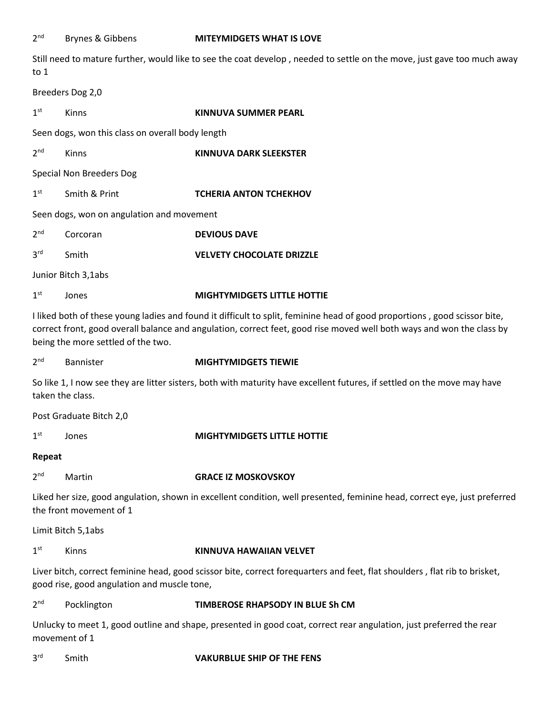$2<sup>nd</sup>$ 

Still need to mature further, would like to see the coat develop , needed to settle on the move, just gave too much away to 1

Breeders Dog 2,0

| 1st | Kinns | <b>KINNUVA SUMMER PEARL</b> |
|-----|-------|-----------------------------|
|     |       |                             |

Seen dogs, won this class on overall body length

 $2<sub>nd</sub>$ Kinns **KINNUVA DARK SLEEKSTER** 

Special Non Breeders Dog

1<sup>st</sup> **Smith & Print <b>TCHERIA ANTON TCHEKHOV** 

Seen dogs, won on angulation and movement

| 2 <sup>nd</sup> | Corcoran            | <b>DEVIOUS DAVE</b>              |
|-----------------|---------------------|----------------------------------|
| 3 <sup>rd</sup> | .Smith              | <b>VELVETY CHOCOLATE DRIZZLE</b> |
|                 | Junior Bitch 3,1abs |                                  |

 $1<sup>st</sup>$ **St Jones MIGHTYMIDGETS LITTLE HOTTIE** 

I liked both of these young ladies and found it difficult to split, feminine head of good proportions , good scissor bite,

correct front, good overall balance and angulation, correct feet, good rise moved well both ways and won the class by being the more settled of the two.

 $2<sup>nd</sup>$ 

nd Bannister **MIGHTYMIDGETS TIEWIE**

So like 1, I now see they are litter sisters, both with maturity have excellent futures, if settled on the move may have taken the class.

Post Graduate Bitch 2,0

 $1<sup>st</sup>$ 

# **St Jones MIGHTYMIDGETS LITTLE HOTTIE**

# **Repeat**

 $2<sup>nd</sup>$ 

**Martin CRACE IZ MOSKOVSKOY** 

Liked her size, good angulation, shown in excellent condition, well presented, feminine head, correct eye, just preferred the front movement of 1

Limit Bitch 5,1abs

 $1<sup>st</sup>$ 

# st Kinns **KINNUVA HAWAIIAN VELVET**

Liver bitch, correct feminine head, good scissor bite, correct forequarters and feet, flat shoulders , flat rib to brisket, good rise, good angulation and muscle tone,

 $2<sup>nd</sup>$ nd Pocklington **TIMBEROSE RHAPSODY IN BLUE Sh CM**

Unlucky to meet 1, good outline and shape, presented in good coat, correct rear angulation, just preferred the rear movement of 1

**3rd** 

# **Franch Smith Smith Smith CONGRESS VAKURBLUE SHIP OF THE FENS**